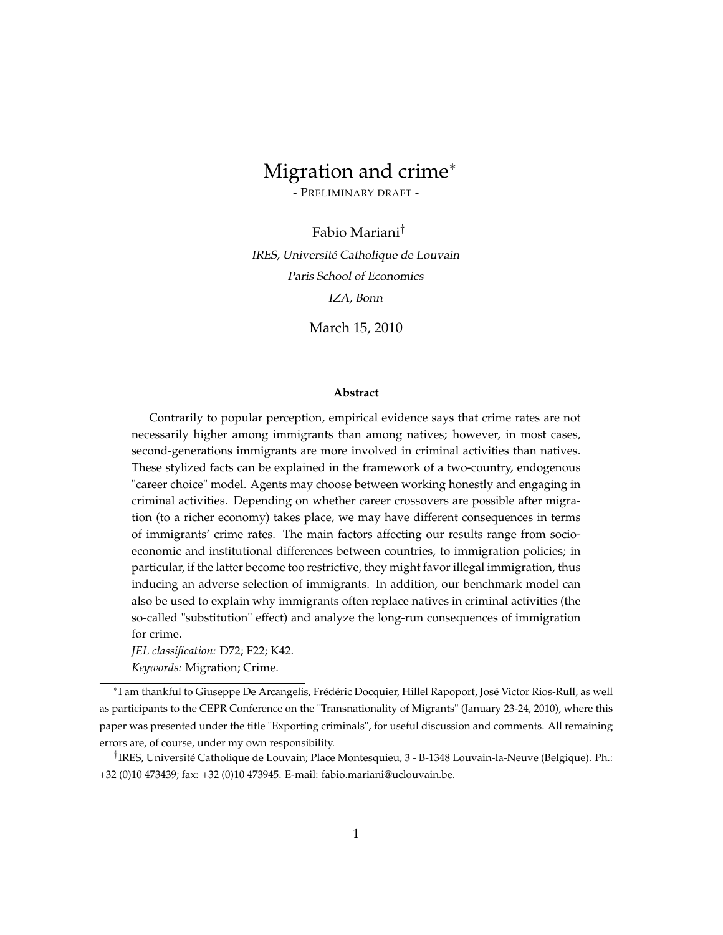# Migration and crime<sup>∗</sup>

- PRELIMINARY DRAFT -

Fabio Mariani† IRES, Université Catholique de Louvain Paris School of Economics IZA, Bonn

March 15, 2010

#### **Abstract**

Contrarily to popular perception, empirical evidence says that crime rates are not necessarily higher among immigrants than among natives; however, in most cases, second-generations immigrants are more involved in criminal activities than natives. These stylized facts can be explained in the framework of a two-country, endogenous "career choice" model. Agents may choose between working honestly and engaging in criminal activities. Depending on whether career crossovers are possible after migration (to a richer economy) takes place, we may have different consequences in terms of immigrants' crime rates. The main factors affecting our results range from socioeconomic and institutional differences between countries, to immigration policies; in particular, if the latter become too restrictive, they might favor illegal immigration, thus inducing an adverse selection of immigrants. In addition, our benchmark model can also be used to explain why immigrants often replace natives in criminal activities (the so-called "substitution" effect) and analyze the long-run consequences of immigration for crime.

*JEL classification:* D72; F22; K42.

*Keywords:* Migration; Crime.

<sup>∗</sup> I am thankful to Giuseppe De Arcangelis, Frédéric Docquier, Hillel Rapoport, José Victor Rios-Rull, as well as participants to the CEPR Conference on the "Transnationality of Migrants" (January 23-24, 2010), where this paper was presented under the title "Exporting criminals", for useful discussion and comments. All remaining errors are, of course, under my own responsibility.

<sup>†</sup> IRES, Université Catholique de Louvain; Place Montesquieu, 3 - B-1348 Louvain-la-Neuve (Belgique). Ph.: +32 (0)10 473439; fax: +32 (0)10 473945. E-mail: fabio.mariani@uclouvain.be.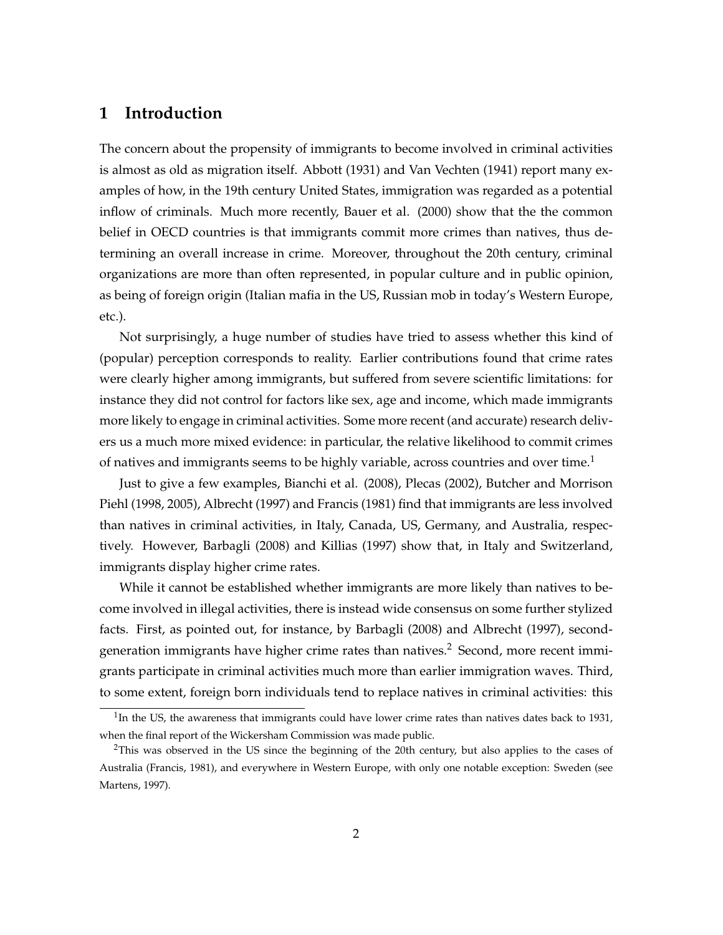### **1 Introduction**

The concern about the propensity of immigrants to become involved in criminal activities is almost as old as migration itself. Abbott (1931) and Van Vechten (1941) report many examples of how, in the 19th century United States, immigration was regarded as a potential inflow of criminals. Much more recently, Bauer et al. (2000) show that the the common belief in OECD countries is that immigrants commit more crimes than natives, thus determining an overall increase in crime. Moreover, throughout the 20th century, criminal organizations are more than often represented, in popular culture and in public opinion, as being of foreign origin (Italian mafia in the US, Russian mob in today's Western Europe, etc.).

Not surprisingly, a huge number of studies have tried to assess whether this kind of (popular) perception corresponds to reality. Earlier contributions found that crime rates were clearly higher among immigrants, but suffered from severe scientific limitations: for instance they did not control for factors like sex, age and income, which made immigrants more likely to engage in criminal activities. Some more recent (and accurate) research delivers us a much more mixed evidence: in particular, the relative likelihood to commit crimes of natives and immigrants seems to be highly variable, across countries and over time.<sup>1</sup>

Just to give a few examples, Bianchi et al. (2008), Plecas (2002), Butcher and Morrison Piehl (1998, 2005), Albrecht (1997) and Francis (1981) find that immigrants are less involved than natives in criminal activities, in Italy, Canada, US, Germany, and Australia, respectively. However, Barbagli (2008) and Killias (1997) show that, in Italy and Switzerland, immigrants display higher crime rates.

While it cannot be established whether immigrants are more likely than natives to become involved in illegal activities, there is instead wide consensus on some further stylized facts. First, as pointed out, for instance, by Barbagli (2008) and Albrecht (1997), secondgeneration immigrants have higher crime rates than natives.<sup>2</sup> Second, more recent immigrants participate in criminal activities much more than earlier immigration waves. Third, to some extent, foreign born individuals tend to replace natives in criminal activities: this

 $1$ In the US, the awareness that immigrants could have lower crime rates than natives dates back to 1931, when the final report of the Wickersham Commission was made public.

<sup>&</sup>lt;sup>2</sup>This was observed in the US since the beginning of the 20th century, but also applies to the cases of Australia (Francis, 1981), and everywhere in Western Europe, with only one notable exception: Sweden (see Martens, 1997).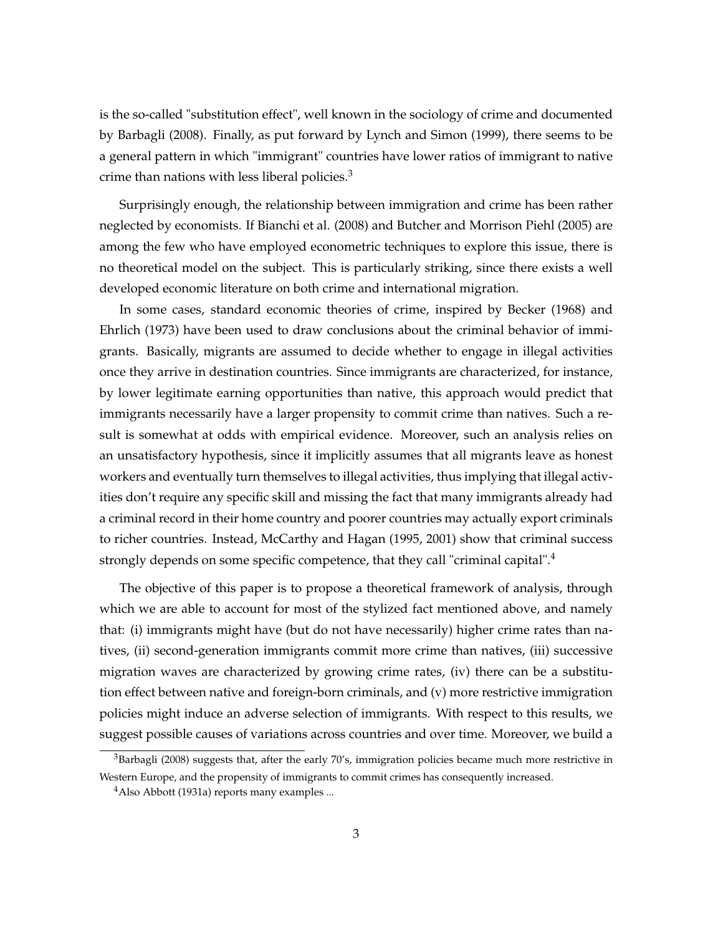is the so-called "substitution effect", well known in the sociology of crime and documented by Barbagli (2008). Finally, as put forward by Lynch and Simon (1999), there seems to be a general pattern in which "immigrant" countries have lower ratios of immigrant to native crime than nations with less liberal policies. $3$ 

Surprisingly enough, the relationship between immigration and crime has been rather neglected by economists. If Bianchi et al. (2008) and Butcher and Morrison Piehl (2005) are among the few who have employed econometric techniques to explore this issue, there is no theoretical model on the subject. This is particularly striking, since there exists a well developed economic literature on both crime and international migration.

In some cases, standard economic theories of crime, inspired by Becker (1968) and Ehrlich (1973) have been used to draw conclusions about the criminal behavior of immigrants. Basically, migrants are assumed to decide whether to engage in illegal activities once they arrive in destination countries. Since immigrants are characterized, for instance, by lower legitimate earning opportunities than native, this approach would predict that immigrants necessarily have a larger propensity to commit crime than natives. Such a result is somewhat at odds with empirical evidence. Moreover, such an analysis relies on an unsatisfactory hypothesis, since it implicitly assumes that all migrants leave as honest workers and eventually turn themselves to illegal activities, thus implying that illegal activities don't require any specific skill and missing the fact that many immigrants already had a criminal record in their home country and poorer countries may actually export criminals to richer countries. Instead, McCarthy and Hagan (1995, 2001) show that criminal success strongly depends on some specific competence, that they call "criminal capital".<sup>4</sup>

The objective of this paper is to propose a theoretical framework of analysis, through which we are able to account for most of the stylized fact mentioned above, and namely that: (i) immigrants might have (but do not have necessarily) higher crime rates than natives, (ii) second-generation immigrants commit more crime than natives, (iii) successive migration waves are characterized by growing crime rates, (iv) there can be a substitution effect between native and foreign-born criminals, and (v) more restrictive immigration policies might induce an adverse selection of immigrants. With respect to this results, we suggest possible causes of variations across countries and over time. Moreover, we build a

 $3$ Barbagli (2008) suggests that, after the early 70's, immigration policies became much more restrictive in Western Europe, and the propensity of immigrants to commit crimes has consequently increased.

 $4$ Also Abbott (1931a) reports many examples ...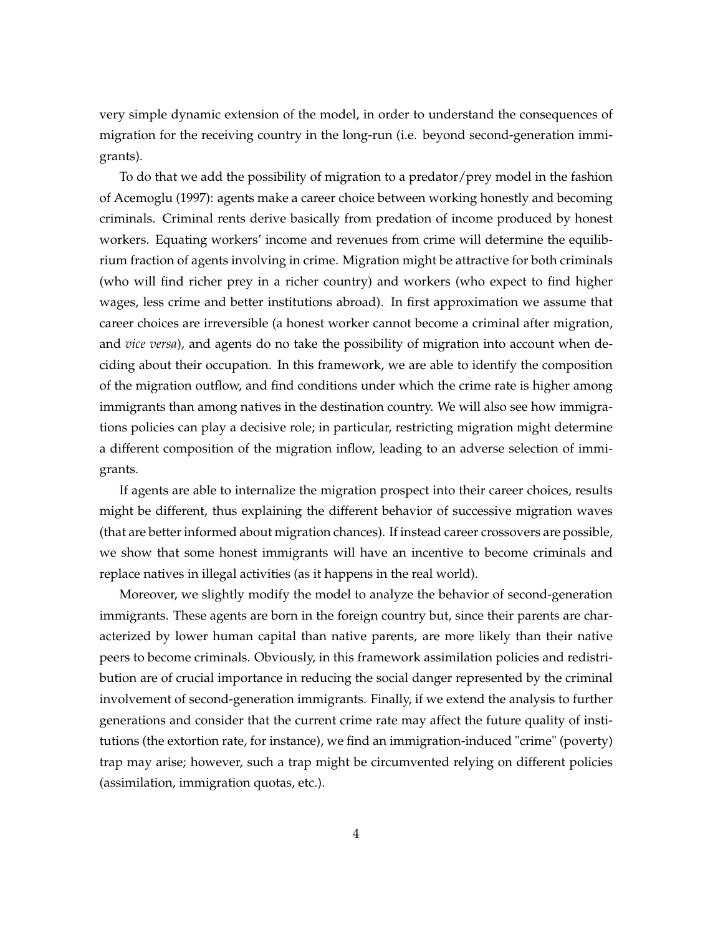very simple dynamic extension of the model, in order to understand the consequences of migration for the receiving country in the long-run (i.e. beyond second-generation immigrants).

To do that we add the possibility of migration to a predator/prey model in the fashion of Acemoglu (1997): agents make a career choice between working honestly and becoming criminals. Criminal rents derive basically from predation of income produced by honest workers. Equating workers' income and revenues from crime will determine the equilibrium fraction of agents involving in crime. Migration might be attractive for both criminals (who will find richer prey in a richer country) and workers (who expect to find higher wages, less crime and better institutions abroad). In first approximation we assume that career choices are irreversible (a honest worker cannot become a criminal after migration, and *vice versa*), and agents do no take the possibility of migration into account when deciding about their occupation. In this framework, we are able to identify the composition of the migration outflow, and find conditions under which the crime rate is higher among immigrants than among natives in the destination country. We will also see how immigrations policies can play a decisive role; in particular, restricting migration might determine a different composition of the migration inflow, leading to an adverse selection of immigrants.

If agents are able to internalize the migration prospect into their career choices, results might be different, thus explaining the different behavior of successive migration waves (that are better informed about migration chances). If instead career crossovers are possible, we show that some honest immigrants will have an incentive to become criminals and replace natives in illegal activities (as it happens in the real world).

Moreover, we slightly modify the model to analyze the behavior of second-generation immigrants. These agents are born in the foreign country but, since their parents are characterized by lower human capital than native parents, are more likely than their native peers to become criminals. Obviously, in this framework assimilation policies and redistribution are of crucial importance in reducing the social danger represented by the criminal involvement of second-generation immigrants. Finally, if we extend the analysis to further generations and consider that the current crime rate may affect the future quality of institutions (the extortion rate, for instance), we find an immigration-induced "crime" (poverty) trap may arise; however, such a trap might be circumvented relying on different policies (assimilation, immigration quotas, etc.).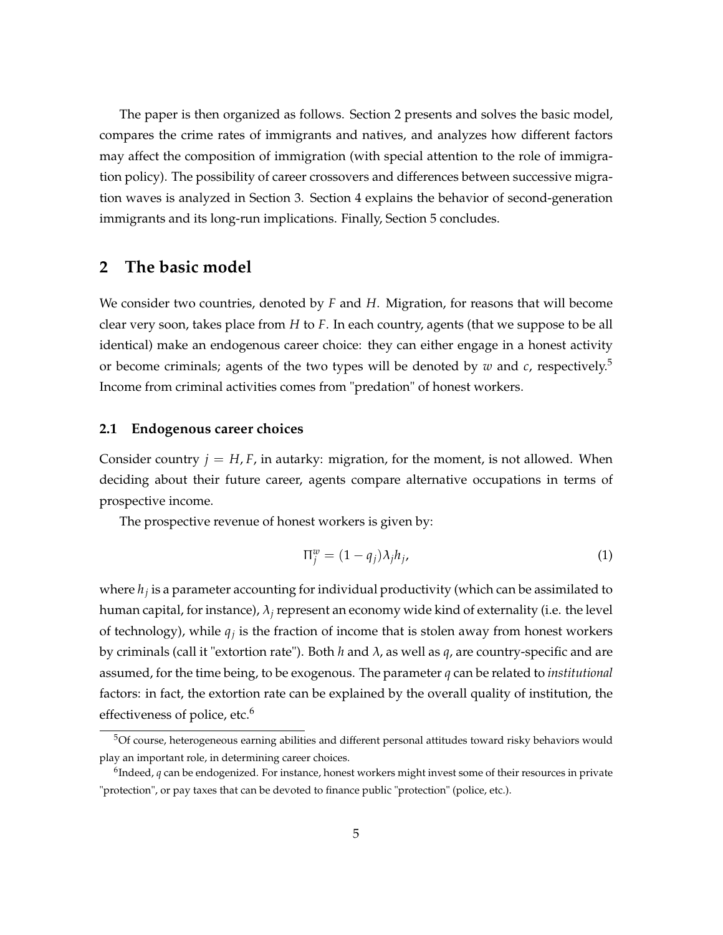The paper is then organized as follows. Section 2 presents and solves the basic model, compares the crime rates of immigrants and natives, and analyzes how different factors may affect the composition of immigration (with special attention to the role of immigration policy). The possibility of career crossovers and differences between successive migration waves is analyzed in Section 3. Section 4 explains the behavior of second-generation immigrants and its long-run implications. Finally, Section 5 concludes.

### **2 The basic model**

We consider two countries, denoted by *F* and *H*. Migration, for reasons that will become clear very soon, takes place from *H* to *F*. In each country, agents (that we suppose to be all identical) make an endogenous career choice: they can either engage in a honest activity or become criminals; agents of the two types will be denoted by  $w$  and  $c$ , respectively.<sup>5</sup> Income from criminal activities comes from "predation" of honest workers.

#### **2.1 Endogenous career choices**

Consider country  $j = H, F$ , in autarky: migration, for the moment, is not allowed. When deciding about their future career, agents compare alternative occupations in terms of prospective income.

The prospective revenue of honest workers is given by:

$$
\Pi_j^w = (1 - q_j)\lambda_j h_j,\tag{1}
$$

where *h<sup>j</sup>* is a parameter accounting for individual productivity (which can be assimilated to human capital, for instance), λ*<sup>j</sup>* represent an economy wide kind of externality (i.e. the level of technology), while *q<sup>j</sup>* is the fraction of income that is stolen away from honest workers by criminals (call it "extortion rate"). Both *h* and λ, as well as *q*, are country-specific and are assumed, for the time being, to be exogenous. The parameter *q* can be related to *institutional* factors: in fact, the extortion rate can be explained by the overall quality of institution, the effectiveness of police, etc.<sup>6</sup>

<sup>&</sup>lt;sup>5</sup>Of course, heterogeneous earning abilities and different personal attitudes toward risky behaviors would play an important role, in determining career choices.

<sup>6</sup> Indeed, *q* can be endogenized. For instance, honest workers might invest some of their resources in private "protection", or pay taxes that can be devoted to finance public "protection" (police, etc.).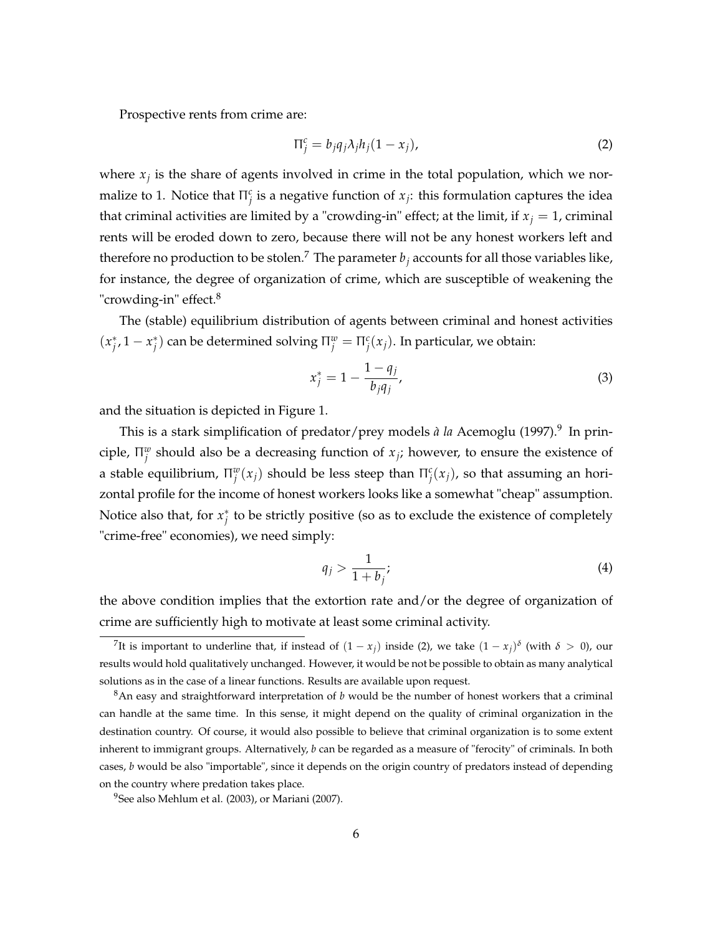Prospective rents from crime are:

$$
\Pi_j^c = b_j q_j \lambda_j h_j (1 - x_j), \tag{2}
$$

where  $x_j$  is the share of agents involved in crime in the total population, which we normalize to 1. Notice that  $\Pi_j^c$  is a negative function of  $x_j$ : this formulation captures the idea that criminal activities are limited by a "crowding-in" effect; at the limit, if  $x_j = 1$ , criminal rents will be eroded down to zero, because there will not be any honest workers left and therefore no production to be stolen.<sup>7</sup> The parameter  $b_j$  accounts for all those variables like, for instance, the degree of organization of crime, which are susceptible of weakening the "crowding-in" effect.<sup>8</sup>

The (stable) equilibrium distribution of agents between criminal and honest activities  $(x_j^*, 1 - x_j^*)$  can be determined solving  $\Pi_j^w = \Pi_j^c(x_j)$ . In particular, we obtain:

$$
x_j^* = 1 - \frac{1 - q_j}{b_j q_j},\tag{3}
$$

and the situation is depicted in Figure 1.

This is a stark simplification of predator/prey models *à la* Acemoglu (1997).<sup>9</sup> In principle,  $\Pi_j^w$  should also be a decreasing function of  $x_j$ ; however, to ensure the existence of a stable equilibrium,  $\Pi_j^w(x_j)$  should be less steep than  $\Pi_j^c(x_j)$ , so that assuming an horizontal profile for the income of honest workers looks like a somewhat "cheap" assumption. Notice also that, for  $x_j^*$  to be strictly positive (so as to exclude the existence of completely "crime-free" economies), we need simply:

$$
q_j > \frac{1}{1+b_j};\tag{4}
$$

the above condition implies that the extortion rate and/or the degree of organization of crime are sufficiently high to motivate at least some criminal activity.

The is important to underline that, if instead of  $(1-x_j)$  inside (2), we take  $(1-x_j)^\delta$  (with  $\delta > 0$ ), our results would hold qualitatively unchanged. However, it would be not be possible to obtain as many analytical solutions as in the case of a linear functions. Results are available upon request.

<sup>8</sup>An easy and straightforward interpretation of *b* would be the number of honest workers that a criminal can handle at the same time. In this sense, it might depend on the quality of criminal organization in the destination country. Of course, it would also possible to believe that criminal organization is to some extent inherent to immigrant groups. Alternatively, *b* can be regarded as a measure of "ferocity" of criminals. In both cases, *b* would be also "importable", since it depends on the origin country of predators instead of depending on the country where predation takes place.

 $9$ See also Mehlum et al. (2003), or Mariani (2007).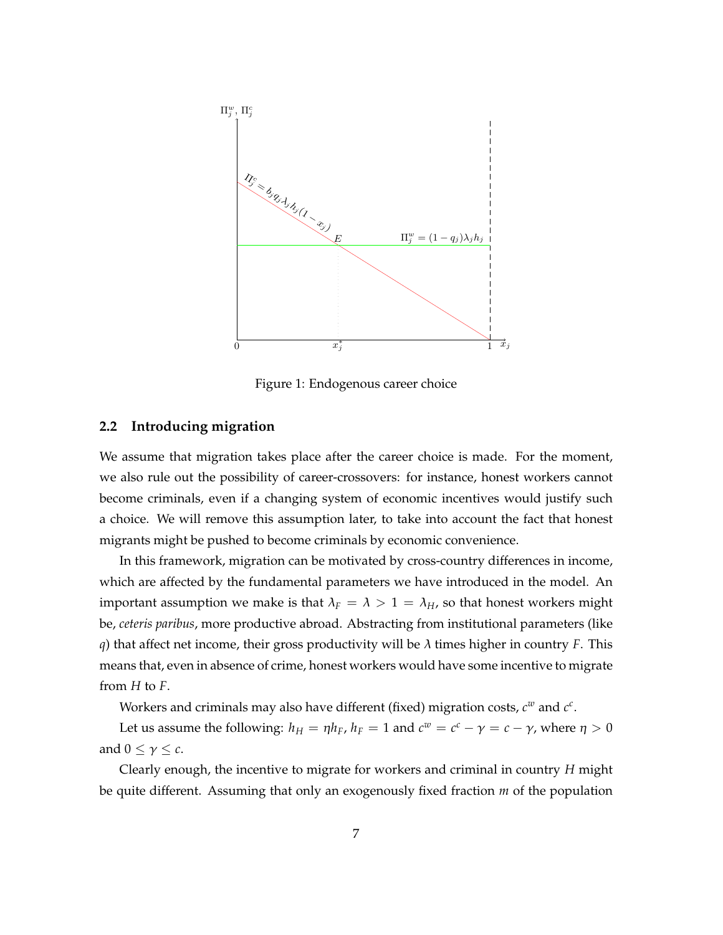

Figure 1: Endogenous career choice

#### **2.2 Introducing migration**

We assume that migration takes place after the career choice is made. For the moment, we also rule out the possibility of career-crossovers: for instance, honest workers cannot become criminals, even if a changing system of economic incentives would justify such a choice. We will remove this assumption later, to take into account the fact that honest migrants might be pushed to become criminals by economic convenience.

In this framework, migration can be motivated by cross-country differences in income, which are affected by the fundamental parameters we have introduced in the model. An important assumption we make is that  $\lambda_F = \lambda > 1 = \lambda_H$ , so that honest workers might be, *ceteris paribus*, more productive abroad. Abstracting from institutional parameters (like *q*) that affect net income, their gross productivity will be  $\lambda$  times higher in country *F*. This means that, even in absence of crime, honest workers would have some incentive to migrate from *H* to *F*.

Workers and criminals may also have different (fixed) migration costs,  $c^w$  and  $c^c$ .

Let us assume the following:  $h_H = \eta h_F$ ,  $h_F = 1$  and  $c^w = c^c - \gamma = c - \gamma$ , where  $\eta > 0$ and  $0 \leq \gamma \leq c$ .

Clearly enough, the incentive to migrate for workers and criminal in country *H* might be quite different. Assuming that only an exogenously fixed fraction *m* of the population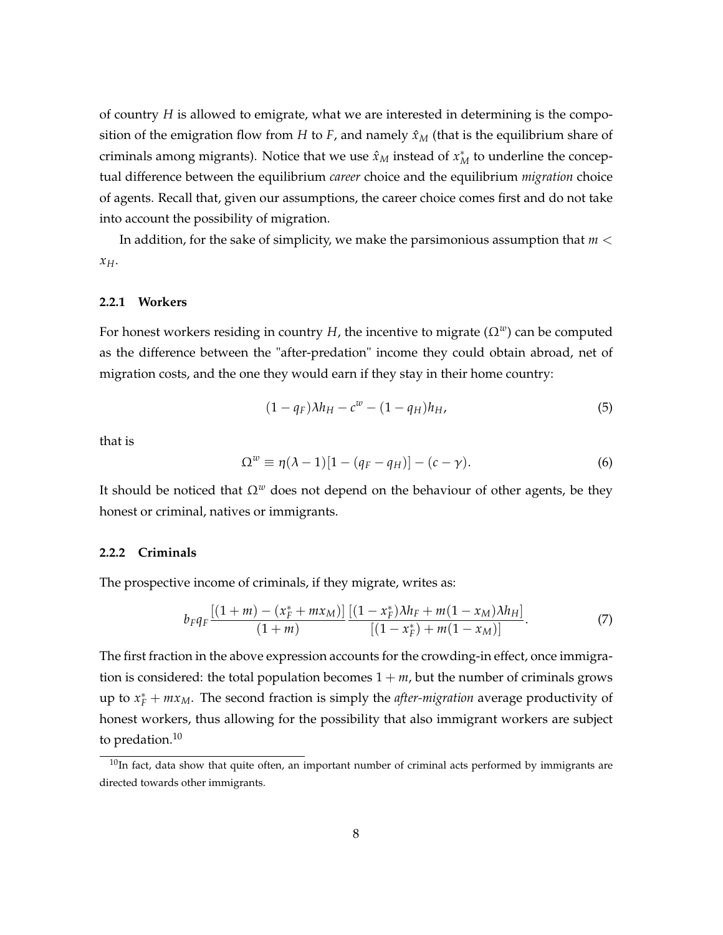of country *H* is allowed to emigrate, what we are interested in determining is the composition of the emigration flow from *H* to *F*, and namely  $\hat{x}_M$  (that is the equilibrium share of criminals among migrants). Notice that we use  $\hat{x}_M$  instead of  $x_M^*$  to underline the conceptual difference between the equilibrium *career* choice and the equilibrium *migration* choice of agents. Recall that, given our assumptions, the career choice comes first and do not take into account the possibility of migration.

In addition, for the sake of simplicity, we make the parsimonious assumption that *m* < *xH*.

#### **2.2.1 Workers**

For honest workers residing in country *H*, the incentive to migrate  $(\Omega^w)$  can be computed as the difference between the "after-predation" income they could obtain abroad, net of migration costs, and the one they would earn if they stay in their home country:

$$
(1 - q_F)\lambda h_H - c^w - (1 - q_H)h_H,\tag{5}
$$

that is

$$
\Omega^w \equiv \eta(\lambda - 1)[1 - (q_F - q_H)] - (c - \gamma). \tag{6}
$$

It should be noticed that  $\Omega^w$  does not depend on the behaviour of other agents, be they honest or criminal, natives or immigrants.

#### **2.2.2 Criminals**

The prospective income of criminals, if they migrate, writes as:

$$
b_F q_F \frac{[(1+m)-(x_F^*+mx_M)][(1-x_F^*)\lambda h_F+m(1-x_M)\lambda h_H]}{(1+m)}.
$$
\n(7)

The first fraction in the above expression accounts for the crowding-in effect, once immigration is considered: the total population becomes  $1 + m$ , but the number of criminals grows up to  $x_F^* + mx_M$ . The second fraction is simply the *after-migration* average productivity of honest workers, thus allowing for the possibility that also immigrant workers are subject to predation. $10$ 

 $10$ In fact, data show that quite often, an important number of criminal acts performed by immigrants are directed towards other immigrants.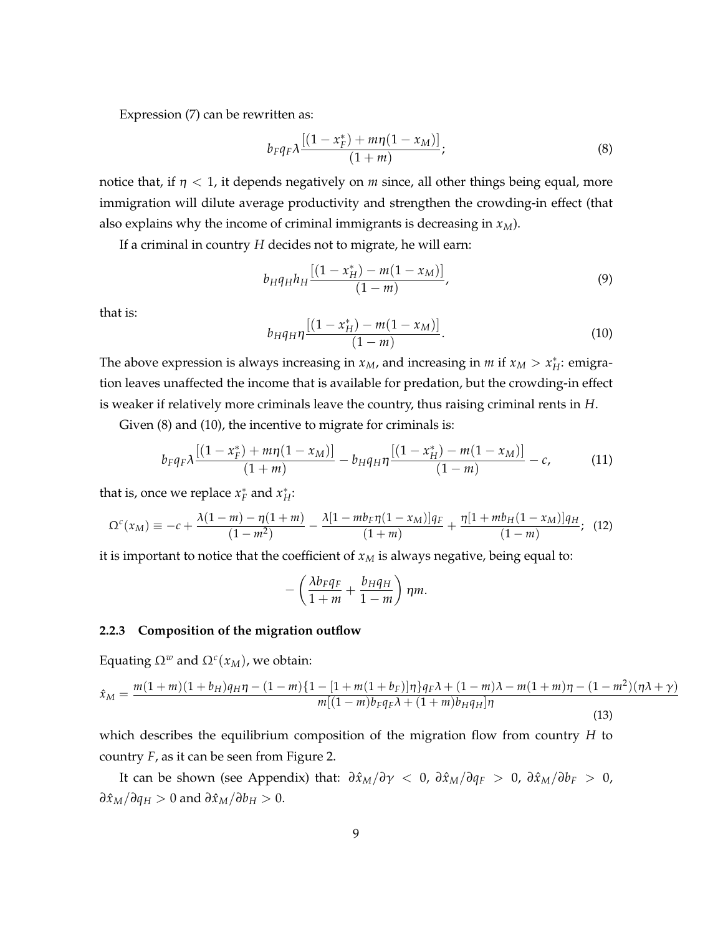Expression (7) can be rewritten as:

$$
b_F q_F \lambda \frac{[(1 - x_F^*) + m\eta (1 - x_M)]}{(1 + m)};
$$
\n(8)

notice that, if  $\eta$  < 1, it depends negatively on *m* since, all other things being equal, more immigration will dilute average productivity and strengthen the crowding-in effect (that also explains why the income of criminal immigrants is decreasing in *xM*).

If a criminal in country *H* decides not to migrate, he will earn:

$$
b_H q_H h_H \frac{[(1 - x_H^*) - m(1 - x_M)]}{(1 - m)},
$$
\n(9)

that is:

$$
b_H q_H \eta \frac{[(1 - x_H^*) - m(1 - x_M)]}{(1 - m)}.
$$
\n(10)

The above expression is always increasing in  $x_M$ , and increasing in  $m$  if  $x_M > x_H^*$ : emigration leaves unaffected the income that is available for predation, but the crowding-in effect is weaker if relatively more criminals leave the country, thus raising criminal rents in *H*.

Given (8) and (10), the incentive to migrate for criminals is:

$$
b_F q_F \lambda \frac{[(1-x_F^*) + m\eta (1-x_M)]}{(1+m)} - b_H q_H \eta \frac{[(1-x_H^*) - m(1-x_M)]}{(1-m)} - c,\tag{11}
$$

that is, once we replace  $x_F^*$  and  $x_H^*$ :

$$
\Omega^{c}(x_{M}) \equiv -c + \frac{\lambda(1-m) - \eta(1+m)}{(1-m^{2})} - \frac{\lambda[1 - mb_{F}\eta(1-x_{M})]q_{F}}{(1+m)} + \frac{\eta[1 + mb_{H}(1-x_{M})]q_{H}}{(1-m)}; \tag{12}
$$

it is important to notice that the coefficient of  $x_M$  is always negative, being equal to:

$$
-\left(\frac{\lambda b_F q_F}{1+m}+\frac{b_H q_H}{1-m}\right)\eta m.
$$

#### **2.2.3 Composition of the migration outflow**

Equating  $Ω<sup>w</sup>$  and  $Ω<sup>c</sup>(x<sub>M</sub>)$ , we obtain:

$$
\hat{x}_{M} = \frac{m(1+m)(1+b_{H})q_{H}\eta - (1-m)\{1 - [1+m(1+b_{F})]\eta\}q_{F}\lambda + (1-m)\lambda - m(1+m)\eta - (1-m^{2})(\eta\lambda + \gamma)}{m[(1-m)b_{F}q_{F}\lambda + (1+m)b_{H}q_{H}]\eta}
$$
\n(13)

which describes the equilibrium composition of the migration flow from country *H* to country *F*, as it can be seen from Figure 2.

It can be shown (see Appendix) that:  $\frac{\partial \hat{x}_M}{\partial \gamma} < 0$ ,  $\frac{\partial \hat{x}_M}{\partial q_F} > 0$ ,  $\frac{\partial \hat{x}_M}{\partial b_F} > 0$ ,  $\frac{\partial \hat{x}_M}{\partial q_H} > 0$  and  $\frac{\partial \hat{x}_M}{\partial b_H} > 0$ .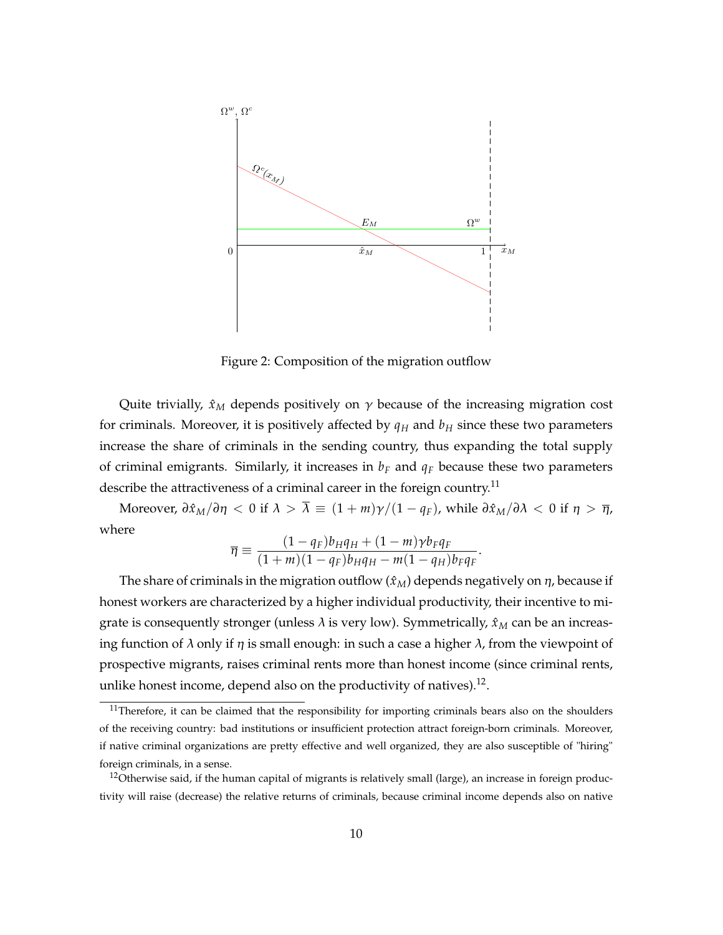

Figure 2: Composition of the migration outflow

Quite trivially,  $\hat{x}_M$  depends positively on  $\gamma$  because of the increasing migration cost for criminals. Moreover, it is positively affected by  $q_H$  and  $b_H$  since these two parameters increase the share of criminals in the sending country, thus expanding the total supply of criminal emigrants. Similarly, it increases in  $b_F$  and  $q_F$  because these two parameters describe the attractiveness of a criminal career in the foreign country.<sup>11</sup>

Moreover,  $\frac{\partial \hat{x}_M}{\partial \eta} < 0$  if  $\lambda > \overline{\lambda} \equiv (1 + m) \gamma / (1 - q_F)$ , while  $\frac{\partial \hat{x}_M}{\partial \lambda} < 0$  if  $\eta > \overline{\eta}$ , where

$$
\overline{\eta} \equiv \frac{(1-q_F)b_Hq_H + (1-m)\gamma b_Fq_F}{(1+m)(1-q_F)b_Hq_H - m(1-q_H)b_Fq_F}
$$

.

The share of criminals in the migration outflow  $(\hat{x}_M)$  depends negatively on  $\eta$ , because if honest workers are characterized by a higher individual productivity, their incentive to migrate is consequently stronger (unless  $\lambda$  is very low). Symmetrically,  $\hat{x}_M$  can be an increasing function of  $\lambda$  only if  $\eta$  is small enough: in such a case a higher  $\lambda$ , from the viewpoint of prospective migrants, raises criminal rents more than honest income (since criminal rents, unlike honest income, depend also on the productivity of natives).<sup>12</sup>.

 $11$ Therefore, it can be claimed that the responsibility for importing criminals bears also on the shoulders of the receiving country: bad institutions or insufficient protection attract foreign-born criminals. Moreover, if native criminal organizations are pretty effective and well organized, they are also susceptible of "hiring" foreign criminals, in a sense.

<sup>&</sup>lt;sup>12</sup>Otherwise said, if the human capital of migrants is relatively small (large), an increase in foreign productivity will raise (decrease) the relative returns of criminals, because criminal income depends also on native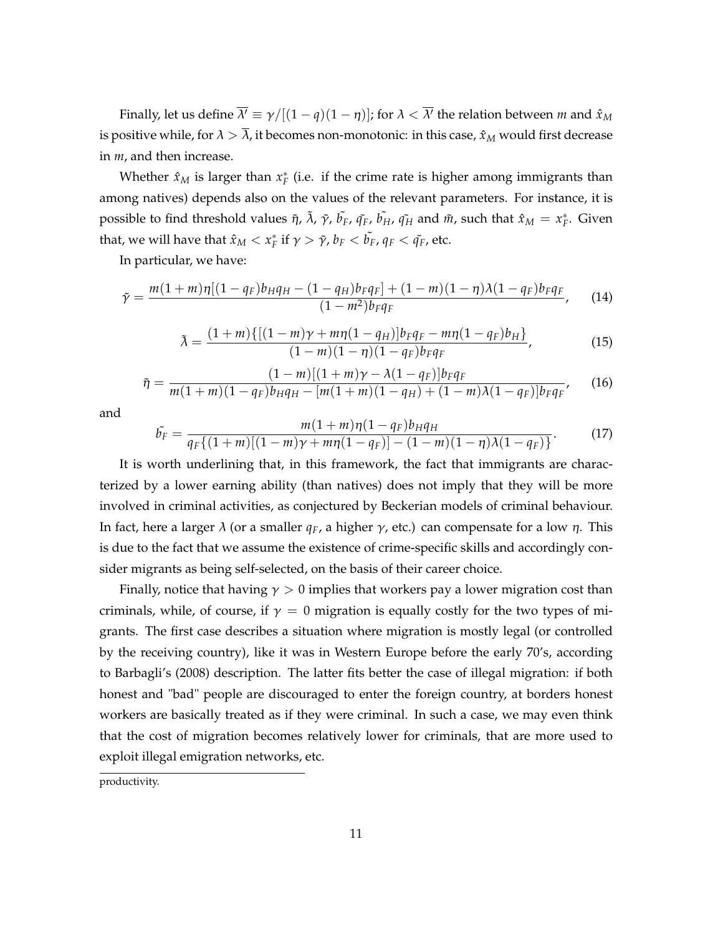Finally, let us define  $\overline{\lambda'}\equiv\gamma/[(1-q)(1-\eta)]$ ; for  $\lambda<\overline{\lambda'}$  the relation between  $m$  and  $\hat{x}_M$ is positive while, for  $\lambda > \overline{\lambda}$ , it becomes non-monotonic: in this case,  $\hat{x}_M$  would first decrease in *m*, and then increase.

Whether  $\hat{x}_M$  is larger than  $x_F^*$  (i.e. if the crime rate is higher among immigrants than among natives) depends also on the values of the relevant parameters. For instance, it is possible to find threshold values  $\tilde{\eta}$ ,  $\tilde{\lambda}$ ,  $\tilde{\gamma}$ ,  $\tilde{b_F}$ ,  $\tilde{q_F}$ ,  $\tilde{b_H}$ ,  $\tilde{q_H}$  and  $\tilde{m}$ , such that  $\hat{x}_M = x_F^*$ . Given that, we will have that  $\hat{x}_M < x_F^*$  if  $\gamma > \tilde{\gamma}$ ,  $b_F < \tilde{b_F}$ ,  $q_F < \tilde{q_F}$ , etc.

In particular, we have:

$$
\tilde{\gamma} = \frac{m(1+m)\eta[(1-q_F)b_Hq_H - (1-q_H)b_Fq_F] + (1-m)(1-\eta)\lambda(1-q_F)b_Fq_F}{(1-m^2)b_Fq_F},
$$
(14)

$$
\tilde{\lambda} = \frac{(1+m)\{[(1-m)\gamma + m\eta(1-q_H)]b_Fq_F - m\eta(1-q_F)b_H\}}{(1-m)(1-\eta)(1-q_F)b_Fq_F},
$$
\n(15)

$$
\tilde{\eta} = \frac{(1-m)[(1+m)\gamma - \lambda(1-q_F)]b_F q_F}{m(1+m)(1-q_F)b_H q_H - [m(1+m)(1-q_H) + (1-m)\lambda(1-q_F)]b_F q_F},
$$
(16)

and

$$
\tilde{b_F} = \frac{m(1+m)\eta(1-q_F)b_Hq_H}{q_F\{(1+m)[(1-m)\gamma+m\eta(1-q_F)]-(1-m)(1-\eta)\lambda(1-q_F)\}}.
$$
(17)

It is worth underlining that, in this framework, the fact that immigrants are characterized by a lower earning ability (than natives) does not imply that they will be more involved in criminal activities, as conjectured by Beckerian models of criminal behaviour. In fact, here a larger  $\lambda$  (or a smaller *q<sub>F</sub>*, a higher γ, etc.) can compensate for a low *η*. This is due to the fact that we assume the existence of crime-specific skills and accordingly consider migrants as being self-selected, on the basis of their career choice.

Finally, notice that having  $\gamma > 0$  implies that workers pay a lower migration cost than criminals, while, of course, if  $\gamma = 0$  migration is equally costly for the two types of migrants. The first case describes a situation where migration is mostly legal (or controlled by the receiving country), like it was in Western Europe before the early 70's, according to Barbagli's (2008) description. The latter fits better the case of illegal migration: if both honest and "bad" people are discouraged to enter the foreign country, at borders honest workers are basically treated as if they were criminal. In such a case, we may even think that the cost of migration becomes relatively lower for criminals, that are more used to exploit illegal emigration networks, etc.

productivity.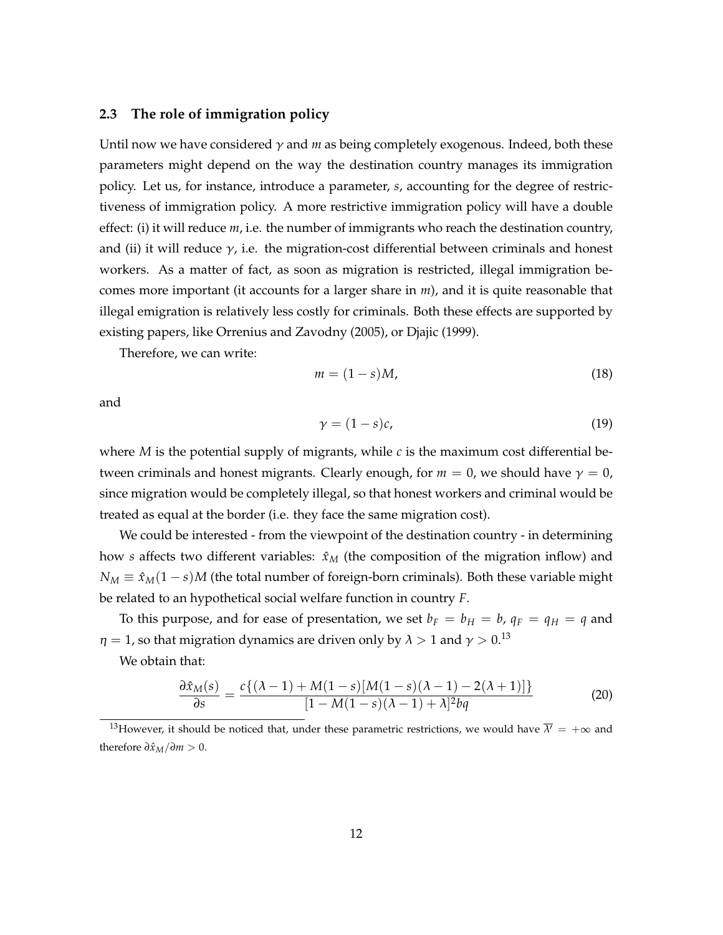#### **2.3 The role of immigration policy**

Until now we have considered  $\gamma$  and  $m$  as being completely exogenous. Indeed, both these parameters might depend on the way the destination country manages its immigration policy. Let us, for instance, introduce a parameter, *s*, accounting for the degree of restrictiveness of immigration policy. A more restrictive immigration policy will have a double effect: (i) it will reduce *m*, i.e. the number of immigrants who reach the destination country, and (ii) it will reduce  $\gamma$ , i.e. the migration-cost differential between criminals and honest workers. As a matter of fact, as soon as migration is restricted, illegal immigration becomes more important (it accounts for a larger share in *m*), and it is quite reasonable that illegal emigration is relatively less costly for criminals. Both these effects are supported by existing papers, like Orrenius and Zavodny (2005), or Djajic (1999).

Therefore, we can write:

$$
m = (1 - s)M,\t(18)
$$

and

$$
\gamma = (1 - s)c,\tag{19}
$$

where *M* is the potential supply of migrants, while *c* is the maximum cost differential between criminals and honest migrants. Clearly enough, for  $m = 0$ , we should have  $\gamma = 0$ , since migration would be completely illegal, so that honest workers and criminal would be treated as equal at the border (i.e. they face the same migration cost).

We could be interested - from the viewpoint of the destination country - in determining how *s* affects two different variables:  $\hat{x}_M$  (the composition of the migration inflow) and  $N_M \equiv \hat{x}_M(1-s)M$  (the total number of foreign-born criminals). Both these variable might be related to an hypothetical social welfare function in country *F*.

To this purpose, and for ease of presentation, we set  $b_F = b_H = b$ ,  $q_F = q_H = q$  and  $\eta = 1$ , so that migration dynamics are driven only by  $\lambda > 1$  and  $\gamma > 0$ .<sup>13</sup>

We obtain that:

$$
\frac{\partial \hat{x}_M(s)}{\partial s} = \frac{c\{(\lambda - 1) + M(1 - s)[M(1 - s)(\lambda - 1) - 2(\lambda + 1)]\}}{[1 - M(1 - s)(\lambda - 1) + \lambda]^2 b q}
$$
(20)

<sup>13</sup>However, it should be noticed that, under these parametric restrictions, we would have  $\overline{\lambda'} = +\infty$  and therefore  $\partial \hat{x}_M / \partial m > 0$ .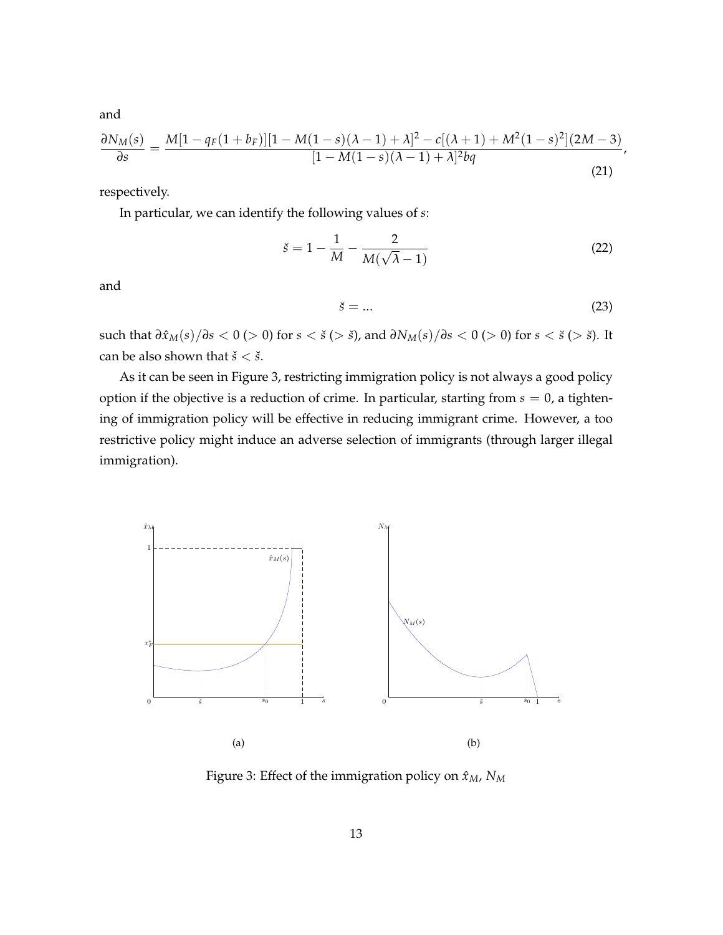and

$$
\frac{\partial N_M(s)}{\partial s} = \frac{M[1 - q_F(1 + b_F)][1 - M(1 - s)(\lambda - 1) + \lambda]^2 - c[(\lambda + 1) + M^2(1 - s)^2](2M - 3)}{[1 - M(1 - s)(\lambda - 1) + \lambda]^2 bq},
$$
\n(21)

respectively.

In particular, we can identify the following values of *s*:

$$
\check{s} = 1 - \frac{1}{M} - \frac{2}{M(\sqrt{\lambda} - 1)}\tag{22}
$$

and

$$
\check{s} = \dots \tag{23}
$$

such that  $\frac{\partial \hat{x}_M(s)}{\partial s} < 0$  (> 0) for  $s < \check{s}$  (>  $\check{s}$ ), and  $\frac{\partial N_M(s)}{\partial s} < 0$  (> 0) for  $s < \check{s}$  (>  $\check{s}$ ). It can be also shown that  $\check{s} < \check{s}$ .

As it can be seen in Figure 3, restricting immigration policy is not always a good policy option if the objective is a reduction of crime. In particular, starting from  $s = 0$ , a tightening of immigration policy will be effective in reducing immigrant crime. However, a too restrictive policy might induce an adverse selection of immigrants (through larger illegal immigration).



Figure 3: Effect of the immigration policy on  $\hat{x}_M$ ,  $N_M$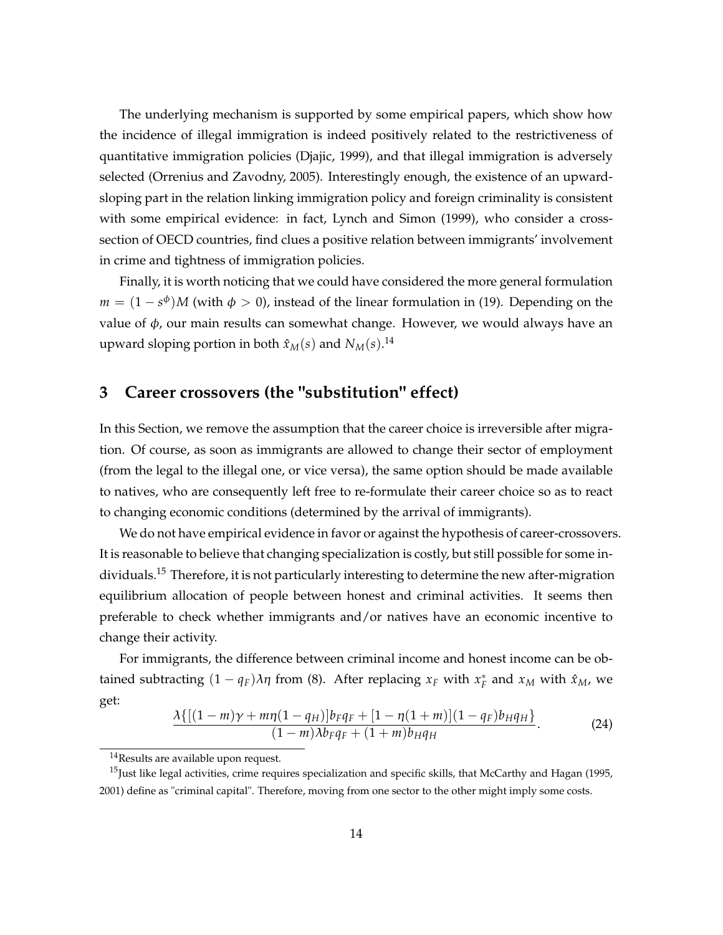The underlying mechanism is supported by some empirical papers, which show how the incidence of illegal immigration is indeed positively related to the restrictiveness of quantitative immigration policies (Djajic, 1999), and that illegal immigration is adversely selected (Orrenius and Zavodny, 2005). Interestingly enough, the existence of an upwardsloping part in the relation linking immigration policy and foreign criminality is consistent with some empirical evidence: in fact, Lynch and Simon (1999), who consider a crosssection of OECD countries, find clues a positive relation between immigrants' involvement in crime and tightness of immigration policies.

Finally, it is worth noticing that we could have considered the more general formulation  $m = (1 - s^{\phi})M$  (with  $\phi > 0$ ), instead of the linear formulation in (19). Depending on the value of  $\phi$ , our main results can somewhat change. However, we would always have an upward sloping portion in both  $\hat{x}_M(s)$  and  $N_M(s)$ .<sup>14</sup>

### **3 Career crossovers (the "substitution" effect)**

In this Section, we remove the assumption that the career choice is irreversible after migration. Of course, as soon as immigrants are allowed to change their sector of employment (from the legal to the illegal one, or vice versa), the same option should be made available to natives, who are consequently left free to re-formulate their career choice so as to react to changing economic conditions (determined by the arrival of immigrants).

We do not have empirical evidence in favor or against the hypothesis of career-crossovers. It is reasonable to believe that changing specialization is costly, but still possible for some individuals.<sup>15</sup> Therefore, it is not particularly interesting to determine the new after-migration equilibrium allocation of people between honest and criminal activities. It seems then preferable to check whether immigrants and/or natives have an economic incentive to change their activity.

For immigrants, the difference between criminal income and honest income can be obtained subtracting  $(1 - q_F)\lambda\eta$  from (8). After replacing  $x_F$  with  $x_F^*$  and  $x_M$  with  $\hat{x}_M$ , we get:

$$
\frac{\lambda\{[(1-m)\gamma+m\eta(1-q_H)]b_Fq_F+[1-\eta(1+m)](1-q_F)b_Hq_H\}}{(1-m)\lambda b_Fq_F+(1+m)b_Hq_H}.
$$
 (24)

 $14$ Results are available upon request.

<sup>&</sup>lt;sup>15</sup>Just like legal activities, crime requires specialization and specific skills, that McCarthy and Hagan (1995, 2001) define as "criminal capital". Therefore, moving from one sector to the other might imply some costs.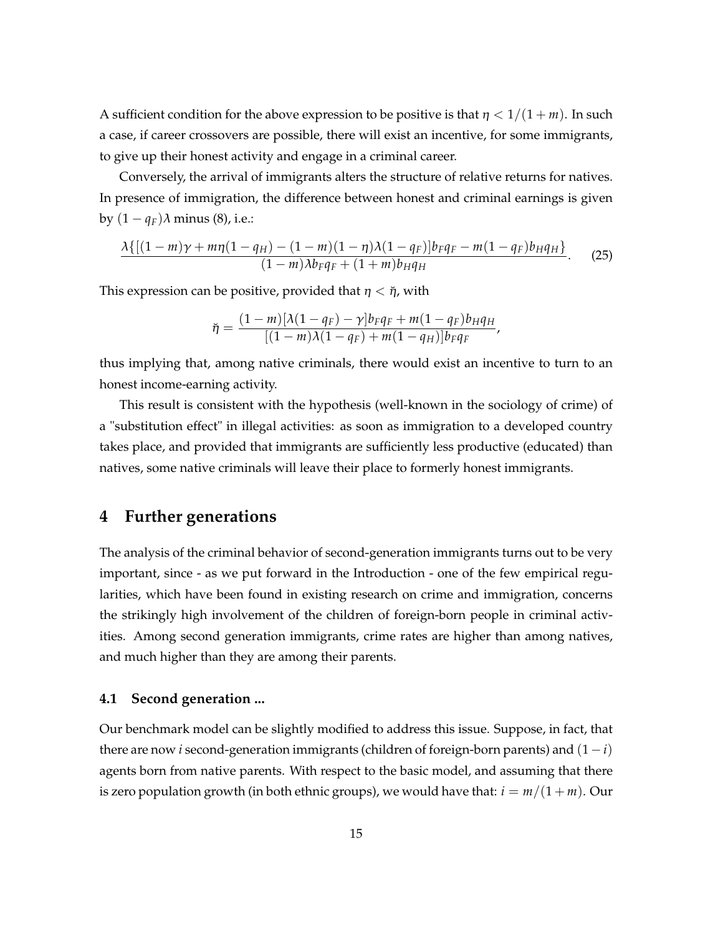A sufficient condition for the above expression to be positive is that  $\eta < 1/(1+m)$ . In such a case, if career crossovers are possible, there will exist an incentive, for some immigrants, to give up their honest activity and engage in a criminal career.

Conversely, the arrival of immigrants alters the structure of relative returns for natives. In presence of immigration, the difference between honest and criminal earnings is given by  $(1 - q_F)\lambda$  minus (8), i.e.:

$$
\frac{\lambda\{[(1-m)\gamma+m\eta(1-q_H)-(1-m)(1-\eta)\lambda(1-q_F)]b_Fq_F-m(1-q_F)b_Hq_H\}}{(1-m)\lambda b_Fq_F+(1+m)b_Hq_H}.
$$
 (25)

This expression can be positive, provided that  $\eta < \eta$ , with

$$
\breve{\eta} = \frac{(1-m)[\lambda(1-q_F) - \gamma]b_F q_F + m(1-q_F)b_H q_H}{[(1-m)\lambda(1-q_F) + m(1-q_H)]b_F q_F},
$$

thus implying that, among native criminals, there would exist an incentive to turn to an honest income-earning activity.

This result is consistent with the hypothesis (well-known in the sociology of crime) of a "substitution effect" in illegal activities: as soon as immigration to a developed country takes place, and provided that immigrants are sufficiently less productive (educated) than natives, some native criminals will leave their place to formerly honest immigrants.

### **4 Further generations**

The analysis of the criminal behavior of second-generation immigrants turns out to be very important, since - as we put forward in the Introduction - one of the few empirical regularities, which have been found in existing research on crime and immigration, concerns the strikingly high involvement of the children of foreign-born people in criminal activities. Among second generation immigrants, crime rates are higher than among natives, and much higher than they are among their parents.

#### **4.1 Second generation ...**

Our benchmark model can be slightly modified to address this issue. Suppose, in fact, that there are now *i* second-generation immigrants (children of foreign-born parents) and  $(1 - i)$ agents born from native parents. With respect to the basic model, and assuming that there is zero population growth (in both ethnic groups), we would have that:  $i = m/(1 + m)$ . Our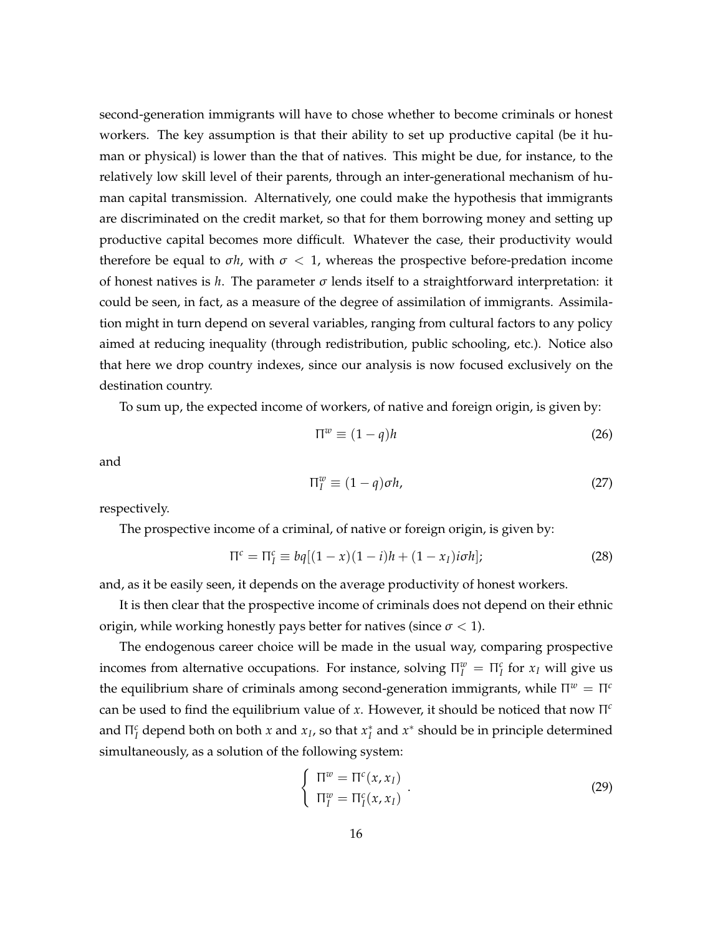second-generation immigrants will have to chose whether to become criminals or honest workers. The key assumption is that their ability to set up productive capital (be it human or physical) is lower than the that of natives. This might be due, for instance, to the relatively low skill level of their parents, through an inter-generational mechanism of human capital transmission. Alternatively, one could make the hypothesis that immigrants are discriminated on the credit market, so that for them borrowing money and setting up productive capital becomes more difficult. Whatever the case, their productivity would therefore be equal to  $\sigma h$ , with  $\sigma < 1$ , whereas the prospective before-predation income of honest natives is *h*. The parameter  $\sigma$  lends itself to a straightforward interpretation: it could be seen, in fact, as a measure of the degree of assimilation of immigrants. Assimilation might in turn depend on several variables, ranging from cultural factors to any policy aimed at reducing inequality (through redistribution, public schooling, etc.). Notice also that here we drop country indexes, since our analysis is now focused exclusively on the destination country.

To sum up, the expected income of workers, of native and foreign origin, is given by:

$$
\Pi^w \equiv (1 - q)h \tag{26}
$$

and

$$
\Pi_I^w \equiv (1 - q)\sigma h,\tag{27}
$$

respectively.

The prospective income of a criminal, of native or foreign origin, is given by:

$$
\Pi^c = \Pi^c_I \equiv bq[(1-x)(1-i)h + (1-x_I)i\sigma h];\tag{28}
$$

and, as it be easily seen, it depends on the average productivity of honest workers.

It is then clear that the prospective income of criminals does not depend on their ethnic origin, while working honestly pays better for natives (since  $\sigma$  < 1).

The endogenous career choice will be made in the usual way, comparing prospective incomes from alternative occupations. For instance, solving  $\Pi_I^w = \Pi_I^c$  for  $x_I$  will give us the equilibrium share of criminals among second-generation immigrants, while  $\Pi^w = \Pi^c$ can be used to find the equilibrium value of *x*. However, it should be noticed that now Π *c* and  $\Pi_I^c$  depend both on both *x* and  $x_I$ , so that  $x_I^*$  and  $x^*$  should be in principle determined simultaneously, as a solution of the following system:

$$
\begin{cases} \n\Pi^w = \Pi^c(x, x_I) \\ \n\Pi^w_I = \Pi^c_I(x, x_I) \n\end{cases} \n\tag{29}
$$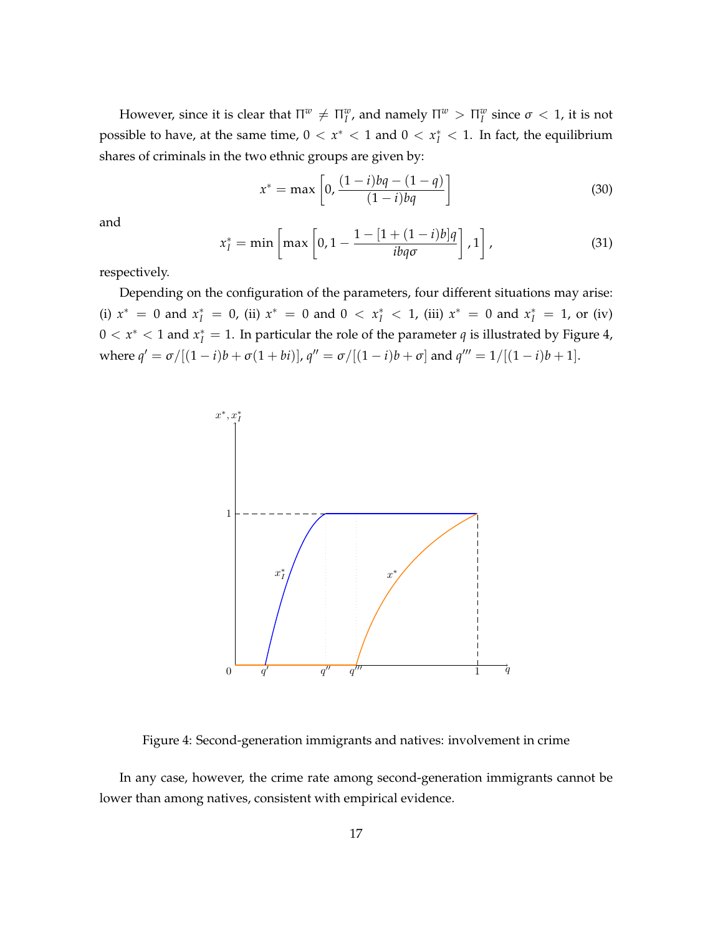However, since it is clear that  $\Pi^w \neq \Pi^w_I$ , and namely  $\Pi^w > \Pi^w_I$  since  $\sigma < 1$ , it is not possible to have, at the same time,  $0 < x^* < 1$  and  $0 < x^*_{I} < 1$ . In fact, the equilibrium shares of criminals in the two ethnic groups are given by:

$$
x^* = \max\left[0, \frac{(1-i)bq - (1-q)}{(1-i)bq}\right]
$$
 (30)

and

$$
x_I^* = \min\left[\max\left[0, 1 - \frac{1 - [1 + (1 - i)b]q}{ibq\sigma}\right], 1\right],\tag{31}
$$

respectively.

Depending on the configuration of the parameters, four different situations may arise: (i)  $x^* = 0$  and  $x_I^* = 0$ , (ii)  $x^* = 0$  and  $0 < x_I^* < 1$ , (iii)  $x^* = 0$  and  $x_I^* = 1$ , or (iv)  $0 < x^* < 1$  and  $x_I^* = 1$ . In particular the role of the parameter  $q$  is illustrated by Figure 4, where  $q' = \sigma/[(1-i)b + \sigma(1+bi)]$ ,  $q'' = \sigma/[(1-i)b + \sigma]$  and  $q''' = 1/[(1-i)b + 1]$ .



Figure 4: Second-generation immigrants and natives: involvement in crime

In any case, however, the crime rate among second-generation immigrants cannot be lower than among natives, consistent with empirical evidence.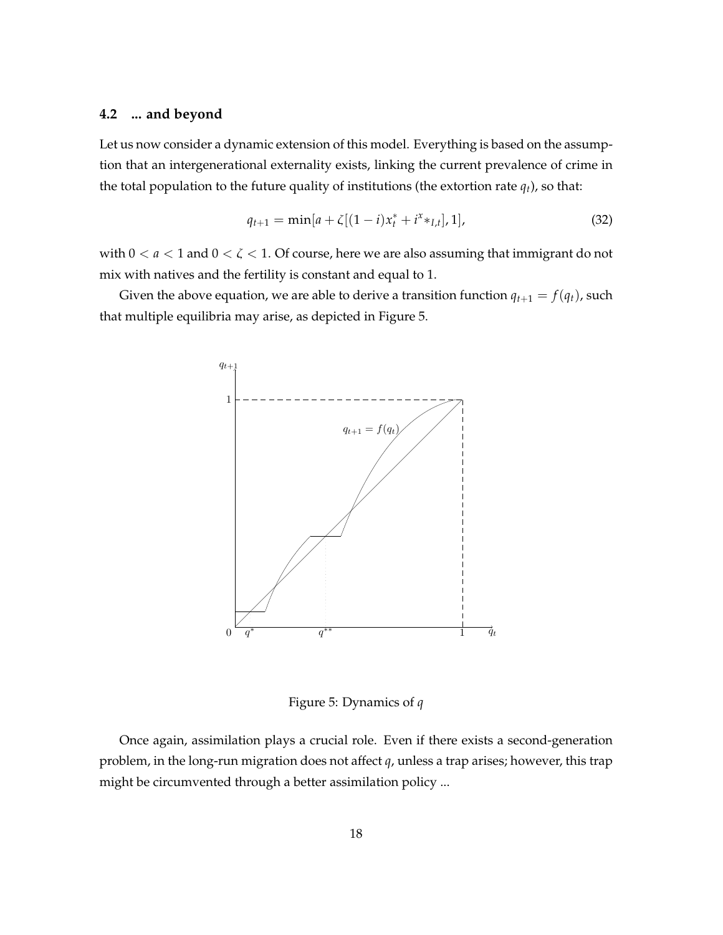#### **4.2 ... and beyond**

Let us now consider a dynamic extension of this model. Everything is based on the assumption that an intergenerational externality exists, linking the current prevalence of crime in the total population to the future quality of institutions (the extortion rate  $q_t$ ), so that:

$$
q_{t+1} = \min[a + \zeta[(1-i)x_t^* + i^x *_{I,t}], 1],
$$
\n(32)

with  $0 < a < 1$  and  $0 < \zeta < 1$ . Of course, here we are also assuming that immigrant do not mix with natives and the fertility is constant and equal to 1.

Given the above equation, we are able to derive a transition function  $q_{t+1} = f(q_t)$ , such that multiple equilibria may arise, as depicted in Figure 5.



Figure 5: Dynamics of *q*

Once again, assimilation plays a crucial role. Even if there exists a second-generation problem, in the long-run migration does not affect *q*, unless a trap arises; however, this trap might be circumvented through a better assimilation policy ...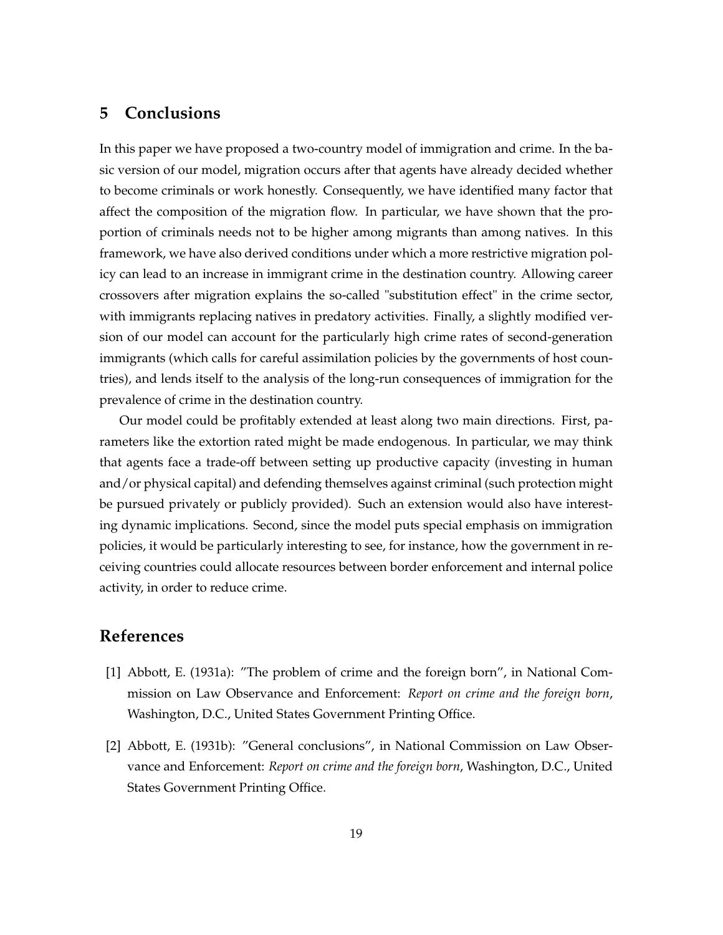### **5 Conclusions**

In this paper we have proposed a two-country model of immigration and crime. In the basic version of our model, migration occurs after that agents have already decided whether to become criminals or work honestly. Consequently, we have identified many factor that affect the composition of the migration flow. In particular, we have shown that the proportion of criminals needs not to be higher among migrants than among natives. In this framework, we have also derived conditions under which a more restrictive migration policy can lead to an increase in immigrant crime in the destination country. Allowing career crossovers after migration explains the so-called "substitution effect" in the crime sector, with immigrants replacing natives in predatory activities. Finally, a slightly modified version of our model can account for the particularly high crime rates of second-generation immigrants (which calls for careful assimilation policies by the governments of host countries), and lends itself to the analysis of the long-run consequences of immigration for the prevalence of crime in the destination country.

Our model could be profitably extended at least along two main directions. First, parameters like the extortion rated might be made endogenous. In particular, we may think that agents face a trade-off between setting up productive capacity (investing in human and/or physical capital) and defending themselves against criminal (such protection might be pursued privately or publicly provided). Such an extension would also have interesting dynamic implications. Second, since the model puts special emphasis on immigration policies, it would be particularly interesting to see, for instance, how the government in receiving countries could allocate resources between border enforcement and internal police activity, in order to reduce crime.

### **References**

- [1] Abbott, E. (1931a): "The problem of crime and the foreign born", in National Commission on Law Observance and Enforcement: *Report on crime and the foreign born*, Washington, D.C., United States Government Printing Office.
- [2] Abbott, E. (1931b): "General conclusions", in National Commission on Law Observance and Enforcement: *Report on crime and the foreign born*, Washington, D.C., United States Government Printing Office.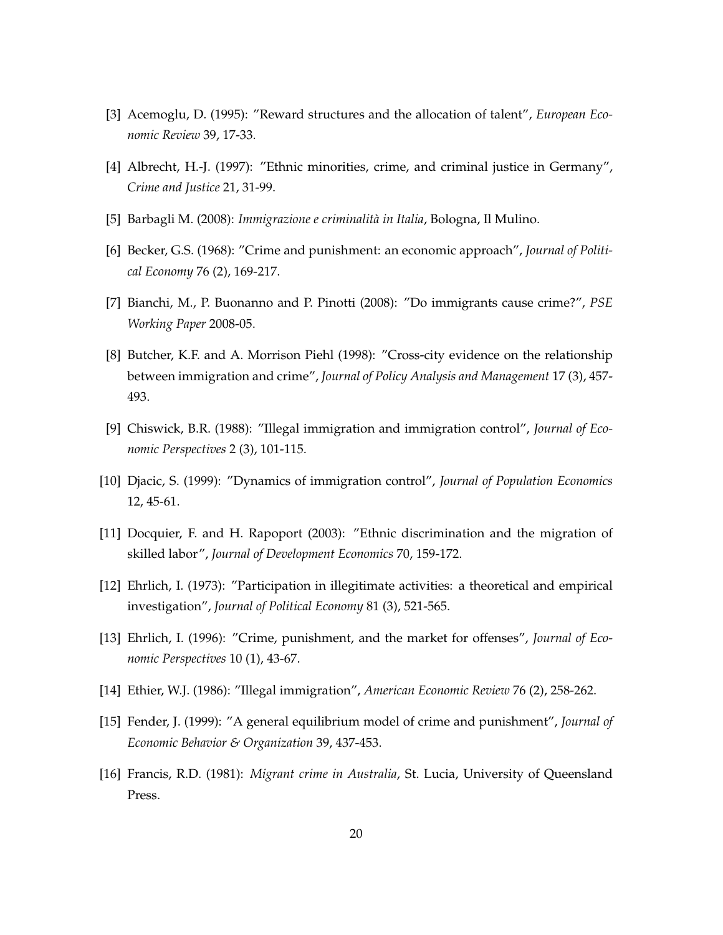- [3] Acemoglu, D. (1995): "Reward structures and the allocation of talent", *European Economic Review* 39, 17-33.
- [4] Albrecht, H.-J. (1997): "Ethnic minorities, crime, and criminal justice in Germany", *Crime and Justice* 21, 31-99.
- [5] Barbagli M. (2008): *Immigrazione e criminalità in Italia*, Bologna, Il Mulino.
- [6] Becker, G.S. (1968): "Crime and punishment: an economic approach", *Journal of Political Economy* 76 (2), 169-217.
- [7] Bianchi, M., P. Buonanno and P. Pinotti (2008): "Do immigrants cause crime?", *PSE Working Paper* 2008-05.
- [8] Butcher, K.F. and A. Morrison Piehl (1998): "Cross-city evidence on the relationship between immigration and crime", *Journal of Policy Analysis and Management* 17 (3), 457- 493.
- [9] Chiswick, B.R. (1988): "Illegal immigration and immigration control", *Journal of Economic Perspectives* 2 (3), 101-115.
- [10] Djacic, S. (1999): "Dynamics of immigration control", *Journal of Population Economics* 12, 45-61.
- [11] Docquier, F. and H. Rapoport (2003): "Ethnic discrimination and the migration of skilled labor", *Journal of Development Economics* 70, 159-172.
- [12] Ehrlich, I. (1973): "Participation in illegitimate activities: a theoretical and empirical investigation", *Journal of Political Economy* 81 (3), 521-565.
- [13] Ehrlich, I. (1996): "Crime, punishment, and the market for offenses", *Journal of Economic Perspectives* 10 (1), 43-67.
- [14] Ethier, W.J. (1986): "Illegal immigration", *American Economic Review* 76 (2), 258-262.
- [15] Fender, J. (1999): "A general equilibrium model of crime and punishment", *Journal of Economic Behavior & Organization* 39, 437-453.
- [16] Francis, R.D. (1981): *Migrant crime in Australia*, St. Lucia, University of Queensland Press.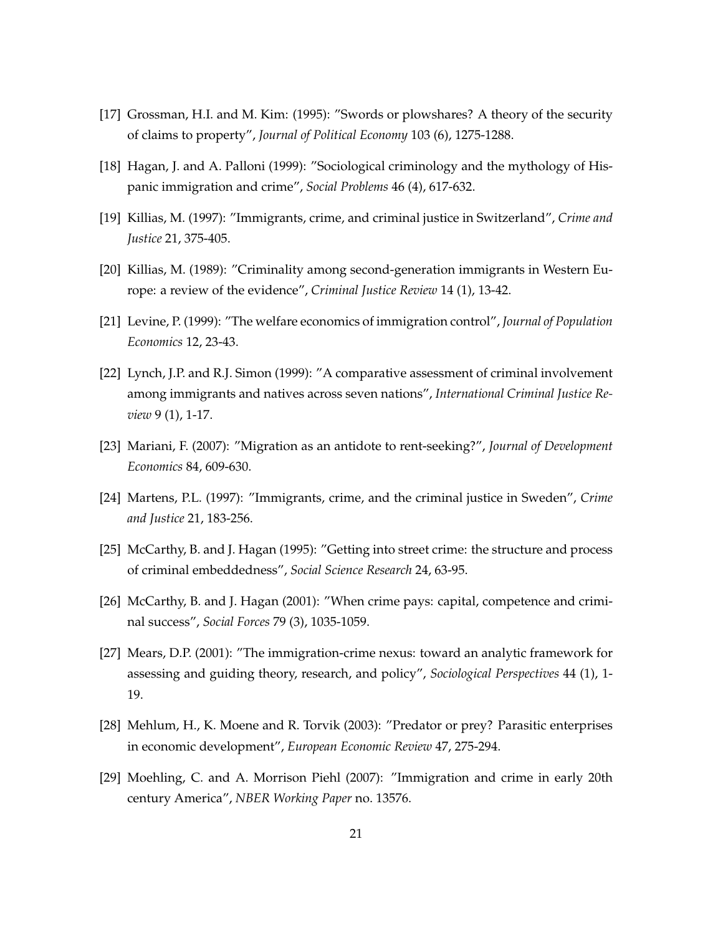- [17] Grossman, H.I. and M. Kim: (1995): "Swords or plowshares? A theory of the security of claims to property", *Journal of Political Economy* 103 (6), 1275-1288.
- [18] Hagan, J. and A. Palloni (1999): "Sociological criminology and the mythology of Hispanic immigration and crime", *Social Problems* 46 (4), 617-632.
- [19] Killias, M. (1997): "Immigrants, crime, and criminal justice in Switzerland", *Crime and Justice* 21, 375-405.
- [20] Killias, M. (1989): "Criminality among second-generation immigrants in Western Europe: a review of the evidence", *Criminal Justice Review* 14 (1), 13-42.
- [21] Levine, P. (1999): "The welfare economics of immigration control", *Journal of Population Economics* 12, 23-43.
- [22] Lynch, J.P. and R.J. Simon (1999): "A comparative assessment of criminal involvement among immigrants and natives across seven nations", *International Criminal Justice Review* 9 (1), 1-17.
- [23] Mariani, F. (2007): "Migration as an antidote to rent-seeking?", *Journal of Development Economics* 84, 609-630.
- [24] Martens, P.L. (1997): "Immigrants, crime, and the criminal justice in Sweden", *Crime and Justice* 21, 183-256.
- [25] McCarthy, B. and J. Hagan (1995): "Getting into street crime: the structure and process of criminal embeddedness", *Social Science Research* 24, 63-95.
- [26] McCarthy, B. and J. Hagan (2001): "When crime pays: capital, competence and criminal success", *Social Forces* 79 (3), 1035-1059.
- [27] Mears, D.P. (2001): "The immigration-crime nexus: toward an analytic framework for assessing and guiding theory, research, and policy", *Sociological Perspectives* 44 (1), 1- 19.
- [28] Mehlum, H., K. Moene and R. Torvik (2003): "Predator or prey? Parasitic enterprises in economic development", *European Economic Review* 47, 275-294.
- [29] Moehling, C. and A. Morrison Piehl (2007): "Immigration and crime in early 20th century America", *NBER Working Paper* no. 13576.